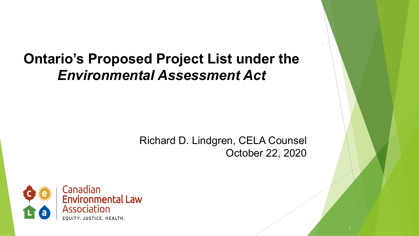**Ontario's Proposed Project List under the** *Environmental Assessment Act*

> Richard D. Lindgren, CELA Counsel October 22, 2020

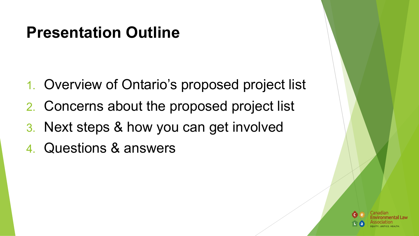#### **Presentation Outline**

- 1. Overview of Ontario's proposed project list
- 2. Concerns about the proposed project list
- 3. Next steps & how you can get involved
- 4. Questions & answers

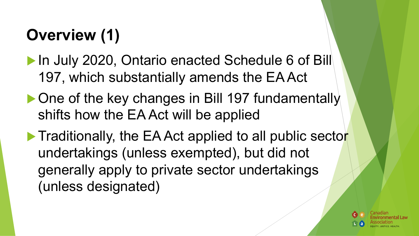# **Overview (1)**

- In July 2020, Ontario enacted Schedule 6 of Bill 197, which substantially amends the EA Act
- $\triangleright$  One of the key changes in Bill 197 fundamentally shifts how the EA Act will be applied
- **Traditionally, the EA Act applied to all public sector** undertakings (unless exempted), but did not generally apply to private sector undertakings (unless designated)

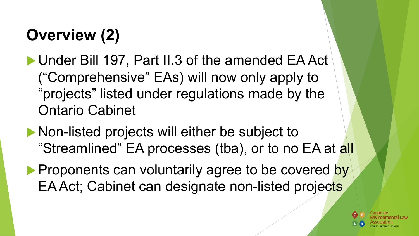# **Overview (2)**

▶ Under Bill 197, Part II.3 of the amended EA Act ("Comprehensive" EAs) will now only apply to "projects" listed under regulations made by the Ontario Cabinet

**Non-listed projects will either be subject to** "Streamlined" EA processes (tba), or to no EA at all

**Proponents can voluntarily agree to be covered by** EA Act; Cabinet can designate non-listed projects

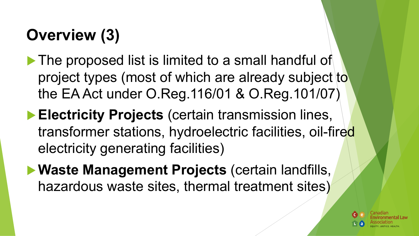# **Overview (3)**

- $\blacktriangleright$  The proposed list is limited to a small handful of project types (most of which are already subject to the EA Act under O.Reg.116/01 & O.Reg.101/07)
- **Electricity Projects** (certain transmission lines, transformer stations, hydroelectric facilities, oil-fired electricity generating facilities)
- **Waste Management Projects (certain landfills,** hazardous waste sites, thermal treatment sites)

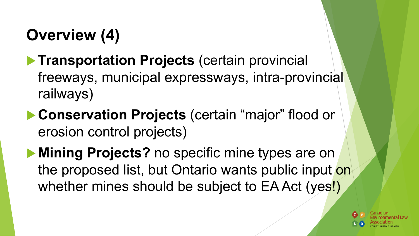# **Overview (4)**

#### **Transportation Projects (certain provincial** freeways, municipal expressways, intra-provincial railways)

**Conservation Projects** (certain "major" flood or erosion control projects)

**Mining Projects?** no specific mine types are on the proposed list, but Ontario wants public input on whether mines should be subject to EA Act (yes!)

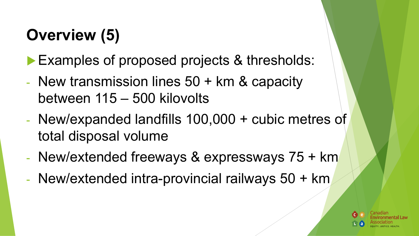# **Overview (5)**

- Examples of proposed projects & thresholds:
- New transmission lines 50 + km & capacity between 115 – 500 kilovolts
- New/expanded landfills 100,000 + cubic metres of total disposal volume
- New/extended freeways & expressways 75 + km
- New/extended intra-provincial railways 50 + km

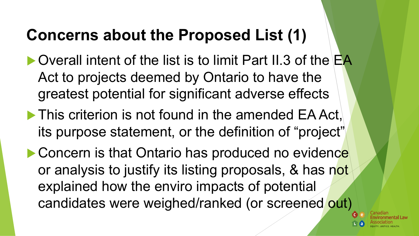#### **Concerns about the Proposed List (1)**

- $\triangleright$  Overall intent of the list is to limit Part II.3 of the EA Act to projects deemed by Ontario to have the greatest potential for significant adverse effects
- $\blacktriangleright$  This criterion is not found in the amended EA Act, its purpose statement, or the definition of "project"
- Concern is that Ontario has produced no evidence or analysis to justify its listing proposals, & has not explained how the enviro impacts of potential candidates were weighed/ranked (or screened out)

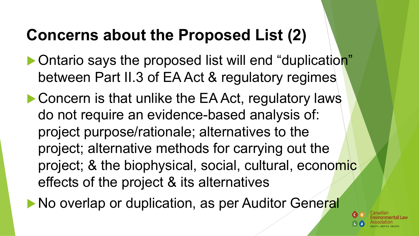#### **Concerns about the Proposed List (2)**

- Ontario says the proposed list will end "duplication" between Part II.3 of EA Act & regulatory regimes
- $\blacktriangleright$  Concern is that unlike the EA Act, regulatory laws do not require an evidence-based analysis of: project purpose/rationale; alternatives to the project; alternative methods for carrying out the project; & the biophysical, social, cultural, economic effects of the project & its alternatives
- No overlap or duplication, as per Auditor General

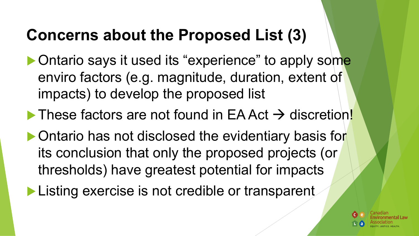### **Concerns about the Proposed List (3)**

- Ontario says it used its "experience" to apply some enviro factors (e.g. magnitude, duration, extent of impacts) to develop the proposed list
- These factors are not found in EA Act  $\rightarrow$  discretion!
- Ontario has not disclosed the evidentiary basis for its conclusion that only the proposed projects (or thresholds) have greatest potential for impacts
- $\blacktriangleright$  Listing exercise is not credible or transparent

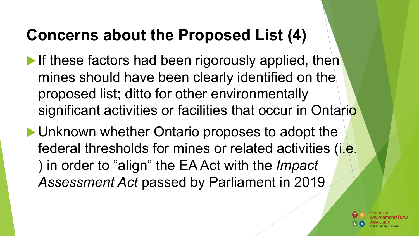#### **Concerns about the Proposed List (4)**

 $\blacktriangleright$  If these factors had been rigorously applied, then mines should have been clearly identified on the proposed list; ditto for other environmentally significant activities or facilities that occur in Ontario

▶ Unknown whether Ontario proposes to adopt the federal thresholds for mines or related activities (i.e. ) in order to "align" the EA Act with the *Impact Assessment Act* passed by Parliament in 2019

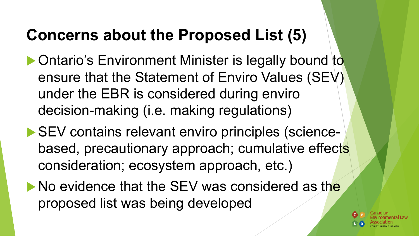#### **Concerns about the Proposed List (5)**

- **D** Ontario's Environment Minister is legally bound to ensure that the Statement of Enviro Values (SEV) under the EBR is considered during enviro decision-making (i.e. making regulations)
- ▶ SEV contains relevant enviro principles (sciencebased, precautionary approach; cumulative effects consideration; ecosystem approach, etc.)
- $\blacktriangleright$  No evidence that the SEV was considered as the proposed list was being developed

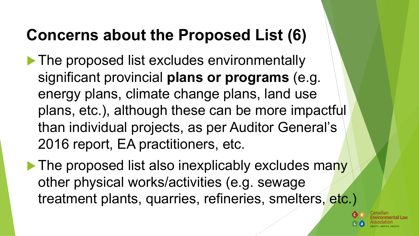#### **Concerns about the Proposed List (6)**

 $\blacktriangleright$  The proposed list excludes environmentally significant provincial **plans or programs** (e.g. energy plans, climate change plans, land use plans, etc.), although these can be more impactful than individual projects, as per Auditor General's 2016 report, EA practitioners, etc.

 $\blacktriangleright$  The proposed list also inexplicably excludes many other physical works/activities (e.g. sewage treatment plants, quarries, refineries, smelters, etc.)

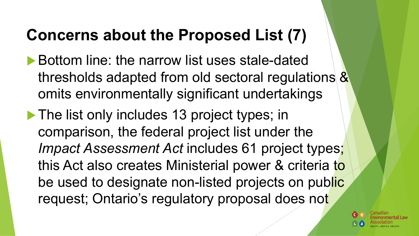### **Concerns about the Proposed List (7)**

- ▶ Bottom line: the narrow list uses stale-dated thresholds adapted from old sectoral regulations & omits environmentally significant undertakings
- The list only includes 13 project types; in comparison, the federal project list under the *Impact Assessment Act* includes 61 project types; this Act also creates Ministerial power & criteria to be used to designate non-listed projects on public request; Ontario's regulatory proposal does not

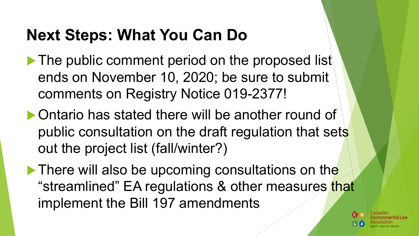### **Next Steps: What You Can Do**

- $\blacktriangleright$  The public comment period on the proposed list ends on November 10, 2020; be sure to submit comments on Registry Notice 019-2377!
- **Denote 20 Yundor Charle Stated there will be another round of** public consultation on the draft regulation that sets out the project list (fall/winter?)
- $\blacktriangleright$  There will also be upcoming consultations on the "streamlined" EA regulations & other measures that implement the Bill 197 amendments